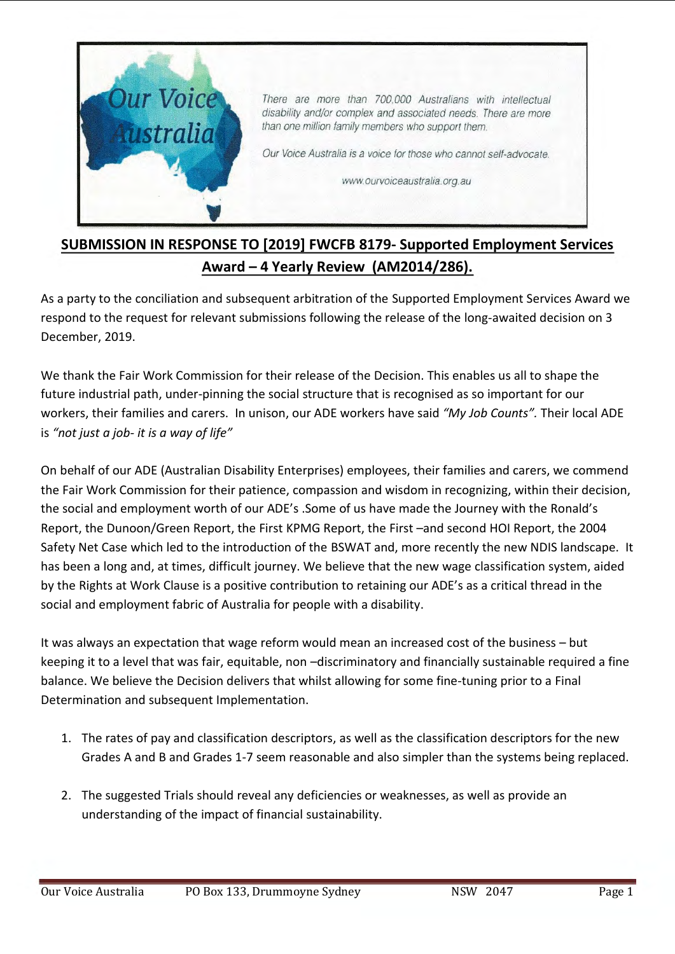

## **SUBMISSION IN RESPONSE TO [2019] FWCFB 8179- Supported Employment Services Award – 4 Yearly Review (AM2014/286).**

As a party to the conciliation and subsequent arbitration of the Supported Employment Services Award we respond to the request for relevant submissions following the release of the long-awaited decision on 3 December, 2019.

We thank the Fair Work Commission for their release of the Decision. This enables us all to shape the future industrial path, under-pinning the social structure that is recognised as so important for our workers, their families and carers. In unison, our ADE workers have said *"My Job Counts".* Their local ADE is *"not just a job- it is a way of life"*

On behalf of our ADE (Australian Disability Enterprises) employees, their families and carers, we commend the Fair Work Commission for their patience, compassion and wisdom in recognizing, within their decision, the social and employment worth of our ADE's .Some of us have made the Journey with the Ronald's Report, the Dunoon/Green Report, the First KPMG Report, the First –and second HOI Report, the 2004 Safety Net Case which led to the introduction of the BSWAT and, more recently the new NDIS landscape. It has been a long and, at times, difficult journey. We believe that the new wage classification system, aided by the Rights at Work Clause is a positive contribution to retaining our ADE's as a critical thread in the social and employment fabric of Australia for people with a disability.

It was always an expectation that wage reform would mean an increased cost of the business – but keeping it to a level that was fair, equitable, non –discriminatory and financially sustainable required a fine balance. We believe the Decision delivers that whilst allowing for some fine-tuning prior to a Final Determination and subsequent Implementation.

- 1. The rates of pay and classification descriptors, as well as the classification descriptors for the new Grades A and B and Grades 1-7 seem reasonable and also simpler than the systems being replaced.
- 2. The suggested Trials should reveal any deficiencies or weaknesses, as well as provide an understanding of the impact of financial sustainability.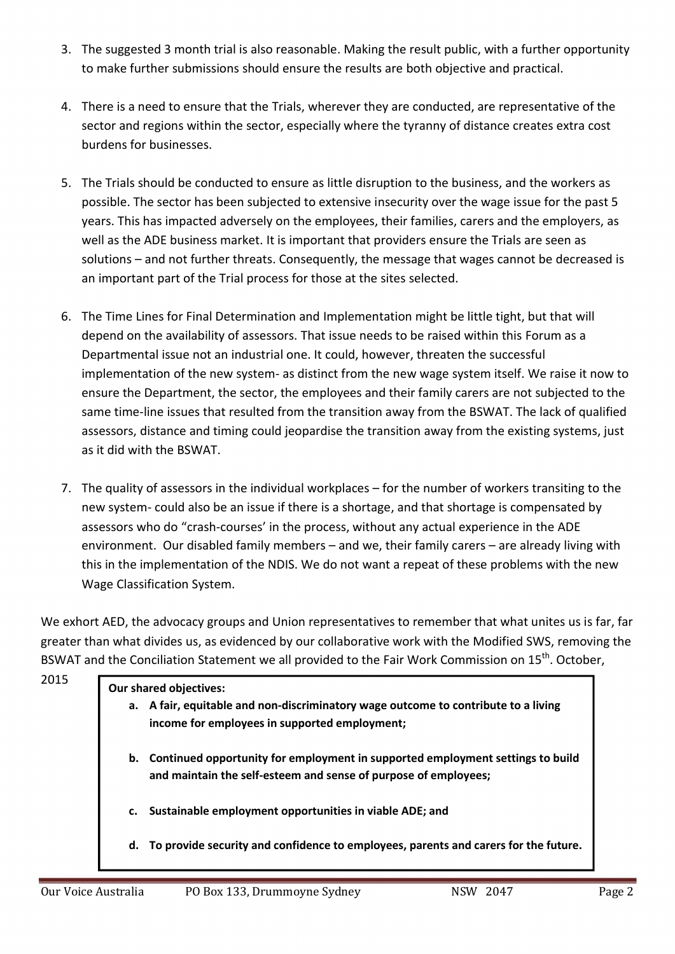- 3. The suggested 3 month trial is also reasonable. Making the result public, with a further opportunity to make further submissions should ensure the results are both objective and practical.
- 4. There is a need to ensure that the Trials, wherever they are conducted, are representative of the sector and regions within the sector, especially where the tyranny of distance creates extra cost burdens for businesses.
- 5. The Trials should be conducted to ensure as little disruption to the business, and the workers as possible. The sector has been subjected to extensive insecurity over the wage issue for the past 5 years. This has impacted adversely on the employees, their families, carers and the employers, as well as the ADE business market. It is important that providers ensure the Trials are seen as solutions – and not further threats. Consequently, the message that wages cannot be decreased is an important part of the Trial process for those at the sites selected.
- 6. The Time Lines for Final Determination and Implementation might be little tight, but that will depend on the availability of assessors. That issue needs to be raised within this Forum as a Departmental issue not an industrial one. It could, however, threaten the successful implementation of the new system- as distinct from the new wage system itself. We raise it now to ensure the Department, the sector, the employees and their family carers are not subjected to the same time-line issues that resulted from the transition away from the BSWAT. The lack of qualified assessors, distance and timing could jeopardise the transition away from the existing systems, just as it did with the BSWAT.
- 7. The quality of assessors in the individual workplaces for the number of workers transiting to the new system- could also be an issue if there is a shortage, and that shortage is compensated by assessors who do "crash-courses' in the process, without any actual experience in the ADE environment. Our disabled family members – and we, their family carers – are already living with this in the implementation of the NDIS. We do not want a repeat of these problems with the new Wage Classification System.

We exhort AED, the advocacy groups and Union representatives to remember that what unites us is far, far greater than what divides us, as evidenced by our collaborative work with the Modified SWS, removing the BSWAT and the Conciliation Statement we all provided to the Fair Work Commission on 15<sup>th</sup>. October,

| <b>Our shared objectives:</b>                                                                                                                           |  |  |
|---------------------------------------------------------------------------------------------------------------------------------------------------------|--|--|
| a. A fair, equitable and non-discriminatory wage outcome to contribute to a living<br>income for employees in supported employment;                     |  |  |
| Continued opportunity for employment in supported employment settings to build<br>b.<br>and maintain the self-esteem and sense of purpose of employees; |  |  |
| Sustainable employment opportunities in viable ADE; and<br>c.                                                                                           |  |  |
| To provide security and confidence to employees, parents and carers for the future.<br>d.                                                               |  |  |
|                                                                                                                                                         |  |  |